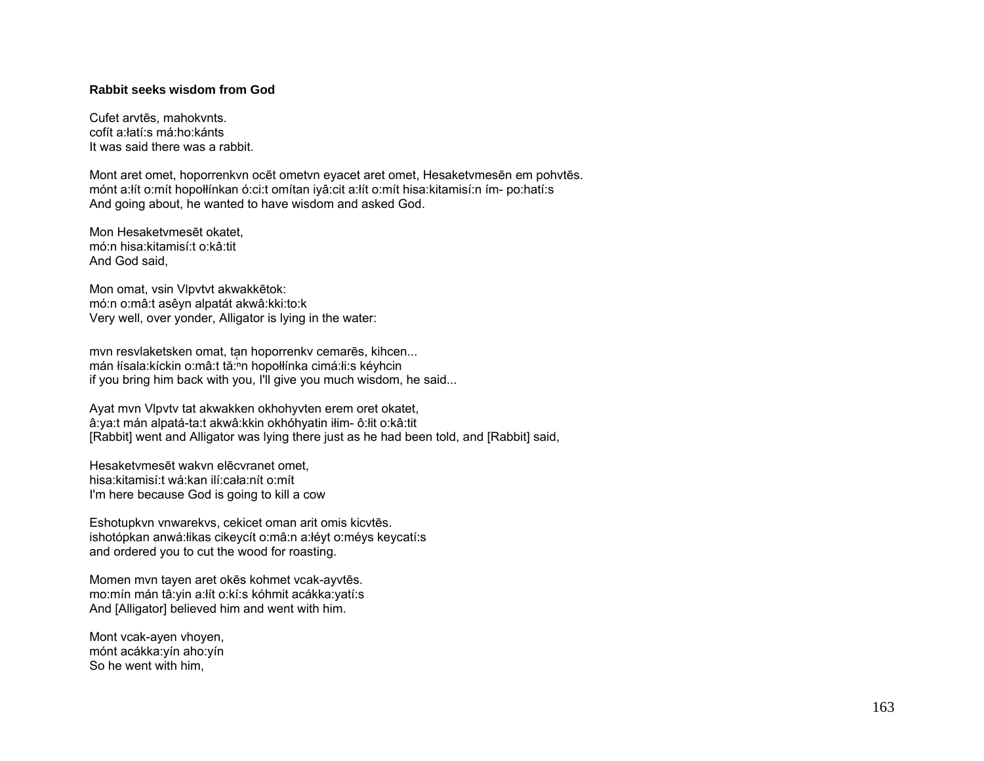## **Rabbit seeks wisdom from God**

Cufet arvtēs, mahokvnts. cofít a:łatí:s má:ho:kánts It was said there was a rabbit.

Mont aret omet, hoporrenkvn ocēt ometvn eyacet aret omet, Hesaketvmesēn em pohvtēs. mónt a:łít o:mít hopołłínkan ó:ci:t omítan iyâ:cit a:łít o:mít hisa:kitamisí:n ím- po:hatí:s And going about, he wanted to have wisdom and asked God.

Mon Hesaketvmesēt okatet, mó:n hisa:kitamisí:t o:kâ:tit And God said,

Mon omat, vsin Vlpvtvt akwakkētok: mó:n o:mâ:t asêyn alpatát akwâ:kki:to:k Very well, over yonder, Alligator is lying in the water:

mvn resvlaketsken omat, tan hoporrenkv cemarēs, kihcen... mán łísala:kíckin o:mâ:t tă:n hopołłínka cimá:łi:s kéyhcin if you bring him back with you, I'll give you much wisdom, he said...

Ayat mvn Vlpvtv tat akwakken okhohyvten erem oret okatet, â:ya:t mán alpatá-ta:t akwâ:kkin okhóhyatin iłim- ô:łit o:kâ:tit [Rabbit] went and Alligator was lying there just as he had been told, and [Rabbit] said,

Hesaketvmesēt wakvn elēcvranet omet, hisa:kitamisí:t wá:kan ilí:cała:nít o:mít I'm here because God is going to kill a cow

Eshotupkvn vnwarekvs, cekicet oman arit omis kicvtēs. ishotópkan anwá:łikas cikeycít o:mâ:n a:łéyt o:méys keycatí:s and ordered you to cut the wood for roasting.

Momen mvn tayen aret okēs kohmet vcak-ayvtēs. mo:mín mán tâ:yin a:łít o:kí:s kóhmit acákka:yatí:s And [Alligator] believed him and went with him.

Mont vcak-ayen vhoyen, mónt acákka:yín aho:yín So he went with him,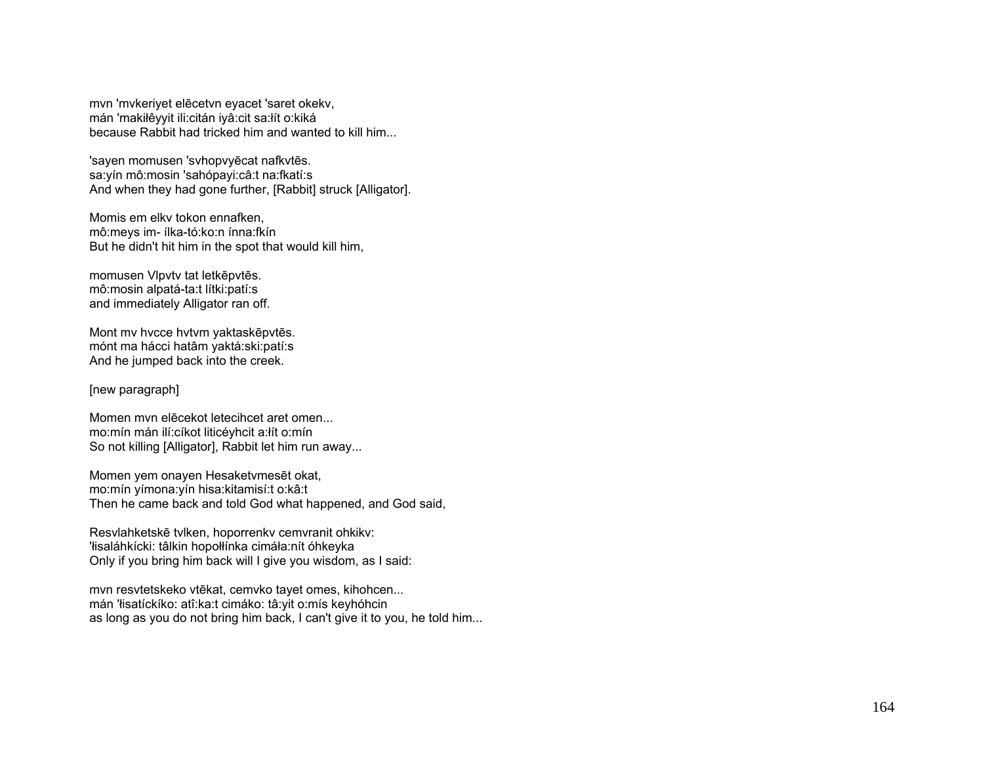mvn 'mvkeriyet elēcetvn eyacet 'saret okekv, mán 'makiłêyyit ili:citán iyâ:cit sa:łít o:kiká because Rabbit had tricked him and wanted to kill him...

'sayen momusen 'svhopvyēcat nafkvtēs. sa:yín mô:mosin 'sahópayi:câ:t na:fkatí:s And when they had gone further, [Rabbit] struck [Alligator].

Momis em elkv tokon ennafken, mô:meys im- ílka-tó:ko:n ínna:fkín But he didn't hit him in the spot that would kill him,

momusen Vlpvtv tat letkēpvtēs. mô:mosin alpatá-ta:t lítki:patí:s and immediately Alligator ran off.

Mont mv hvcce hvtvm yaktaskēpvtēs. mónt ma hácci hatâm yaktá:ski:patí:s And he jumped back into the creek.

## [new paragraph]

Momen mvn elēcekot letecihcet aret omen... mo:mín mán ilí:cíkot liticéyhcit a:łít o:mín So not killing [Alligator], Rabbit let him run away...

Momen yem onayen Hesaketvmesēt okat, mo:mín yímona:yín hisa:kitamisí:t o:kâ:t Then he came back and told God what happened, and God said,

Resvlahketskē tvlken, hoporrenkv cemvranit ohkikv: 'łisaláhkícki: tâlkin hopołłínka cimáła:nít óhkeyka Only if you bring him back will I give you wisdom, as I said:

mvn resvtetskeko vtēkat, cemvko tayet omes, kihohcen... mán 'łisatíckíko: atî:ka:t cimáko: tâ:yit o:mís keyhóhcin as long as you do not bring him back, I can't give it to you, he told him...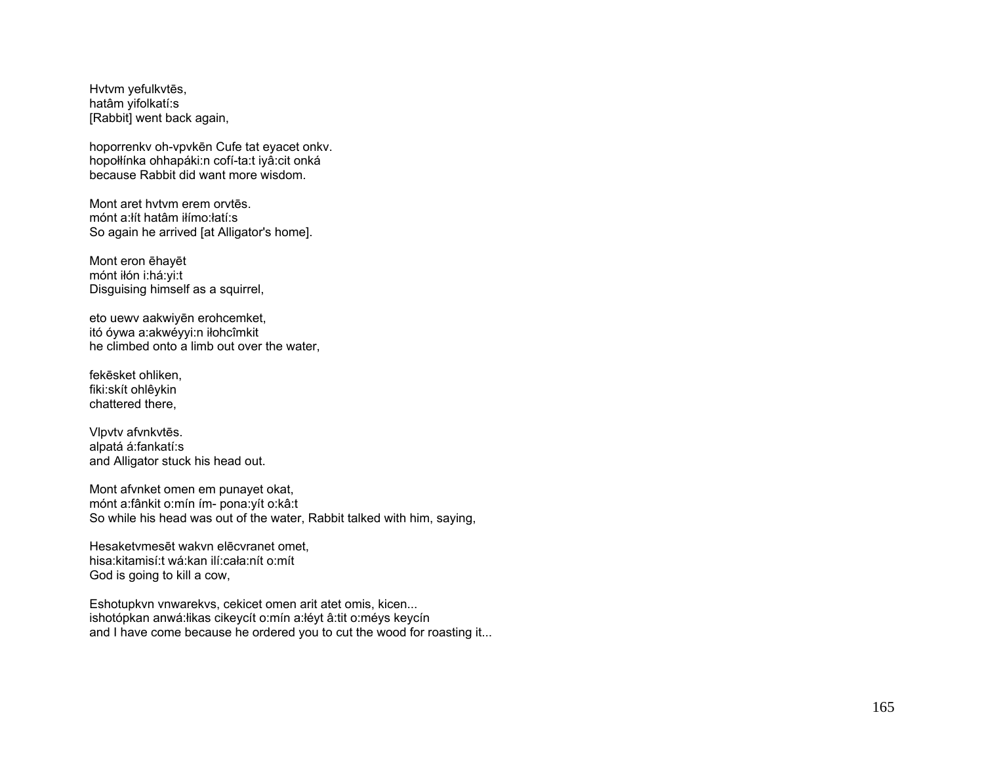Hvtvm yefulkvtēs, hatâm yifolkatí:s [Rabbit] went back again,

hoporrenkv oh-vpvkēn Cufe tat eyacet onkv. hopołłínka ohhapáki:n cofí-ta:t iyâ:cit onká because Rabbit did want more wisdom.

Mont aret hvtvm erem orvtēs. mónt a:łít hatâm iłímo:łatí:s So again he arrived [at Alligator's home].

Mont eron ēhayēt mónt iłón i:há:yi:t Disguising himself as a squirrel,

eto uewv aakwiyēn erohcemket, itó óywa a:akwéyyi:n iłohcîmkit he climbed onto a limb out over the water,

fekēsket ohliken, fiki:skít ohlêykin chattered there,

Vlpvtv afvnkvtēs. alpatá á:fankatí:s and Alligator stuck his head out.

Mont afvnket omen em punayet okat, mónt a:fânkit o:mín ím- pona:yít o:kâ:t So while his head was out of the water, Rabbit talked with him, saying,

Hesaketvmesēt wakvn elēcvranet omet, hisa:kitamisí:t wá:kan ilí:cała:nít o:mít God is going to kill a cow,

Eshotupkvn vnwarekvs, cekicet omen arit atet omis, kicen... ishotópkan anwá:łikas cikeycít o:mín a:łéyt â:tit o:méys keycín and I have come because he ordered you to cut the wood for roasting it...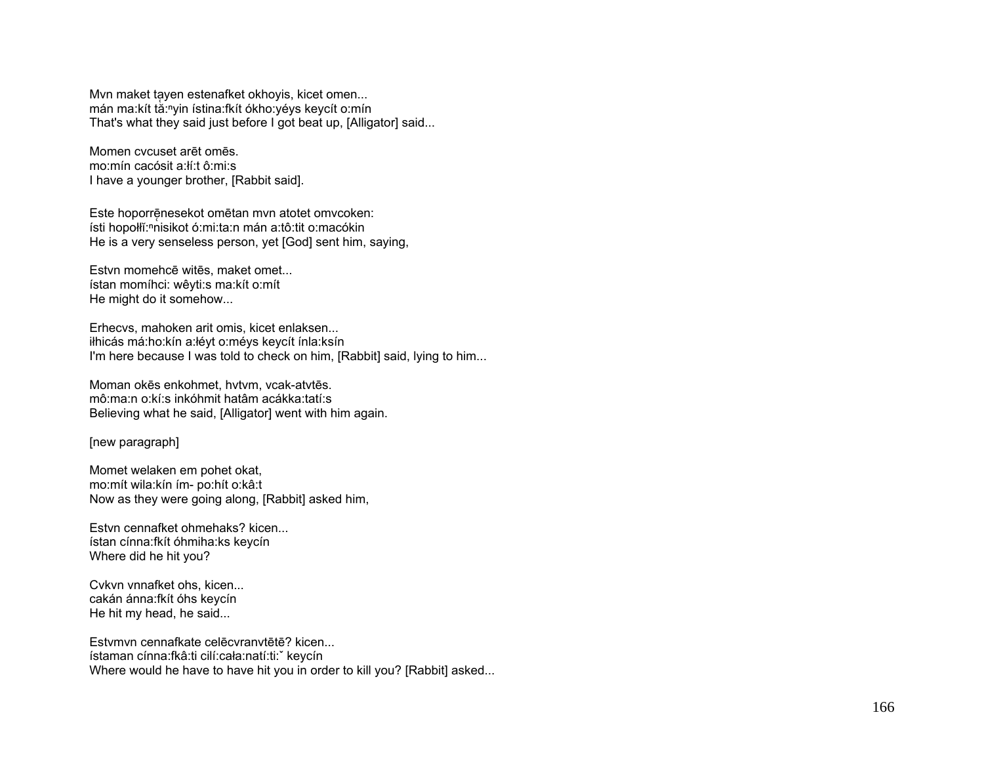Mvn maket tayen estenafket okhoyis, kicet omen... mán ma:kít tǎ:<sup>n</sup>yin ístina:fkít ókho:yéys keycít o:mín That's what they said just before I got beat up, [Alligator] said...

Momen cvcuset arēt omēs. mo:mín cacósit a:łí:t ô:mi:s I have a younger brother, [Rabbit said].

Este hoporrē̜nesekot omētan mvn atotet omvcoken: ísti hopołłĭ:<sup>ⁿ</sup>nisikot ó:mi:ta:n mán a:tô:tit o:macókin He is a very senseless person, yet [God] sent him, saying,

Estvn momehcē witēs, maket omet... ístan momíhci: wêyti:s ma:kít o:mít He might do it somehow...

Erhecvs, mahoken arit omis, kicet enlaksen... iłhicás má:ho:kín a:łéyt o:méys keycít ínla:ksín I'm here because I was told to check on him, [Rabbit] said, lying to him...

Moman okēs enkohmet, hvtvm, vcak-atvtēs. mô:ma:n o:kí:s inkóhmit hatâm acákka:tatí:s Believing what he said, [Alligator] went with him again.

[new paragraph]

Momet welaken em pohet okat, mo:mít wila:kín ím- po:hít o:kâ:t Now as they were going along, [Rabbit] asked him,

Estvn cennafket ohmehaks? kicen... ístan cínna:fkít óhmiha:ks keycín Where did he hit you?

Cvkvn vnnafket ohs, kicen... cakán ánna:fkít óhs keycín He hit my head, he said...

Estvmvn cennafkate celēcvranvtētē? kicen... ístaman cínna:fkâ:ti cilí:cała:natí:ti:ˇ keycín Where would he have to have hit you in order to kill you? [Rabbit] asked...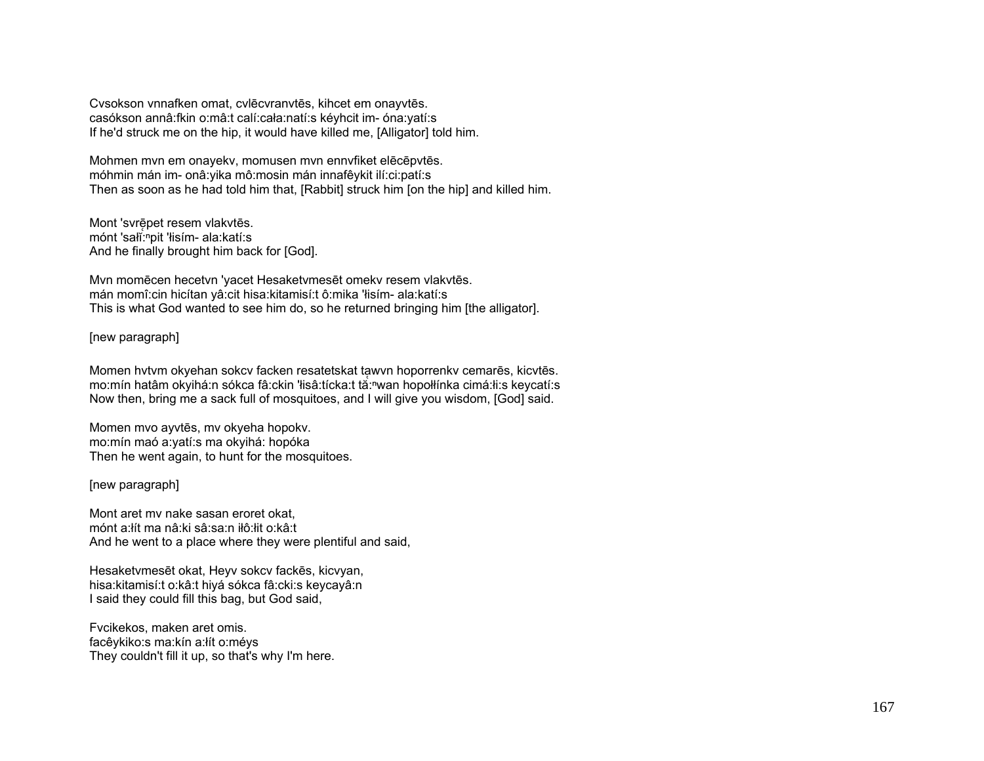Cvsokson vnnafken omat, cvlēcvranvtēs, kihcet em onayvtēs. casókson annâ:fkin o:mâ:t calí:cała:natí:s kéyhcit im- óna:yatí:s If he'd struck me on the hip, it would have killed me, [Alligator] told him.

Mohmen mvn em onayekv, momusen mvn ennvfiket elēcēpvtēs. móhmin mán im- onâ:yika mô:mosin mán innafêykit ilí:ci:patí:s Then as soon as he had told him that, [Rabbit] struck him [on the hip] and killed him.

Mont 'svrēpet resem vlakvtēs. mónt 'sałĭ:<sup>n</sup>pit 'łisím- ala:katí:s And he finally brought him back for [God].

Mvn momēcen hecetvn 'yacet Hesaketvmesēt omekv resem vlakvtēs. mán momî:cin hicítan yâ:cit hisa:kitamisí:t ô:mika 'łisím- ala:katí:s This is what God wanted to see him do, so he returned bringing him [the alligator].

## [new paragraph]

Momen hvtvm okyehan sokcv facken resatetskat ta̜wvn hoporrenkv cemarēs, kicvtēs. mo:mín hatâm okyihá:n sókca fâ:ckin 'łisâ:tícka:t tă:Խwan hopołłínka cimá:łi:s keycatí:s Now then, bring me a sack full of mosquitoes, and I will give you wisdom, [God] said.

Momen mvo ayvtēs, mv okyeha hopokv. mo:mín maó a:yatí:s ma okyihá: hopóka Then he went again, to hunt for the mosquitoes.

[new paragraph]

Mont aret mv nake sasan eroret okat, mónt a:łít ma nâ:ki sâ:sa:n iłô:łit o:kâ:t And he went to a place where they were plentiful and said,

Hesaketvmesēt okat, Heyv sokcv fackēs, kicvyan, hisa:kitamisí:t o:kâ:t hiyá sókca fâ:cki:s keycayâ:n I said they could fill this bag, but God said,

Fvcikekos, maken aret omis. facêykiko:s ma:kín a:łít o:méys They couldn't fill it up, so that's why I'm here.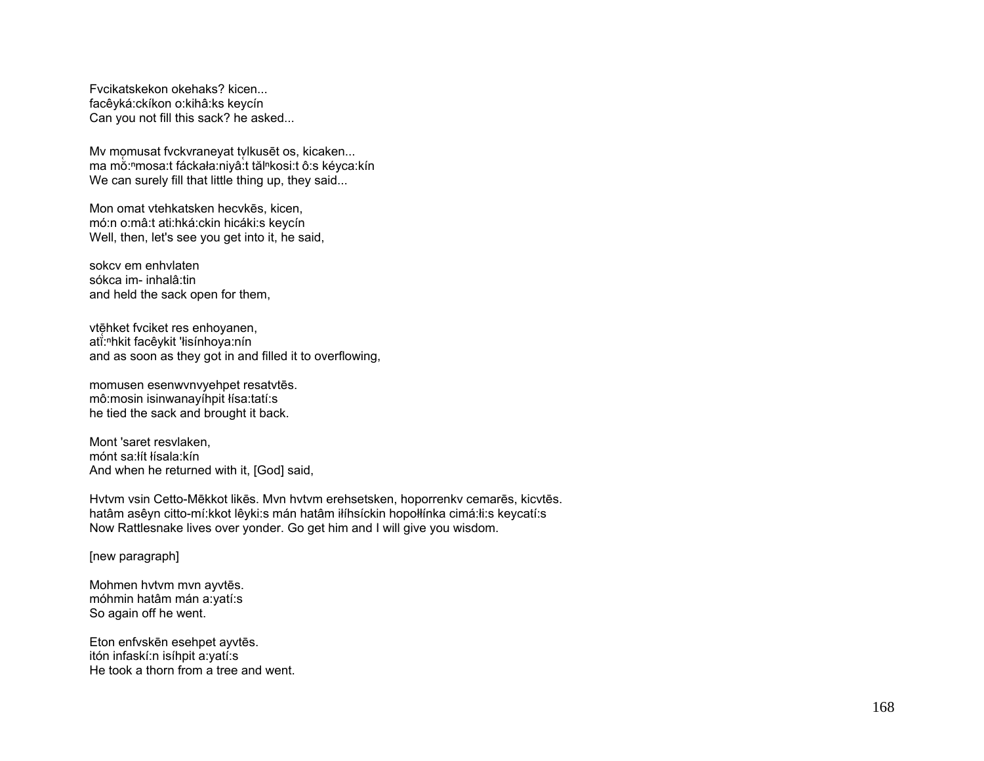Fvcikatskekon okehaks? kicen... facêyká:ckíkon o:kihâ:ks keycín Can you not fill this sack? he asked...

Mv mo̯musat fvckvraneyat tv̞lkusēt os, kicaken... ma mḃ:ªmosa:t fáckała:niyâ:̇́t tălªkosi:t ô:s kéyca:kín We can surely fill that little thing up, they said...

Mon omat vtehkatsken hecvkēs, kicen, mó:n o:mâ:t ati:hká:ckin hicáki:s keycín Well, then, let's see you get into it, he said,

sokcv em enhvlaten sókca im- inhalâ:tin and held the sack open for them,

vtē̯hket fvciket res enhoyanen, atĭ:<sup>ⁿ</sup>hkit facêykit 'łisínhoya:nín and as soon as they got in and filled it to overflowing,

momusen esenwvnvyehpet resatvtēs. mô:mosin isinwanayíhpit łísa:tatí:s he tied the sack and brought it back.

Mont 'saret resvlaken, mónt sa:łít łísala:kín And when he returned with it, [God] said,

Hvtvm vsin Cetto-Mēkkot likēs. Mvn hvtvm erehsetsken, hoporrenkv cemarēs, kicvtēs. hatâm asêyn citto-mí:kkot lêyki:s mán hatâm iłíhsíckin hopołłínka cimá:łi:s keycatí:s Now Rattlesnake lives over yonder. Go get him and I will give you wisdom.

[new paragraph]

Mohmen hvtvm mvn ayvtēs. móhmin hatâm mán a:yatí:s So again off he went.

Eton enfvskēn esehpet ayvtēs. itón infaskí:n isíhpit a:yatí:s He took a thorn from a tree and went.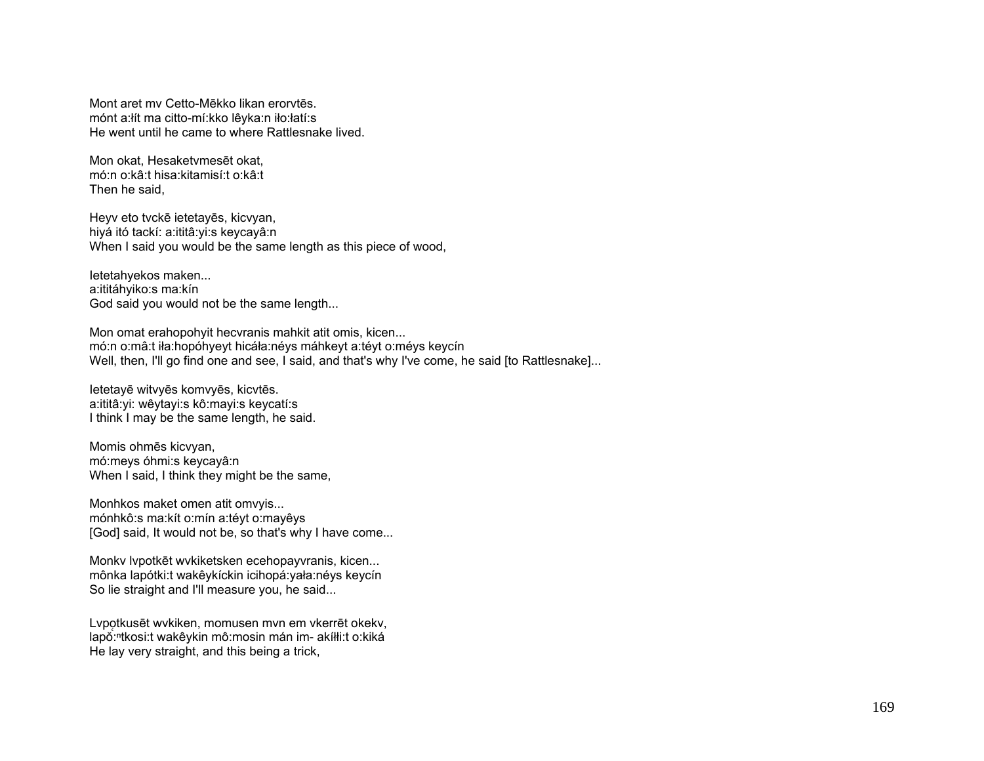Mont aret mv Cetto-Mēkko likan erorvtēs. mónt a:łít ma citto-mí:kko lêyka:n iło:łatí:s He went until he came to where Rattlesnake lived.

Mon okat, Hesaketvmesēt okat, mó:n o:kâ:t hisa:kitamisí:t o:kâ:t Then he said,

Heyv eto tvckē ietetayēs, kicvyan, hiyá itó tackí: a:ititâ:yi:s keycayâ:n When I said you would be the same length as this piece of wood,

Ietetahyekos maken... a:ititáhyiko:s ma:kín God said you would not be the same length...

Mon omat erahopohyit hecvranis mahkit atit omis, kicen... mó:n o:mâ:t iła:hopóhyeyt hicáła:néys máhkeyt a:téyt o:méys keycín Well, then, I'll go find one and see, I said, and that's why I've come, he said [to Rattlesnake]...

Ietetayē witvyēs komvyēs, kicvtēs. a:ititâ:yi: wêytayi:s kô:mayi:s keycatí:s I think I may be the same length, he said.

Momis ohmēs kicvyan, mó:meys óhmi:s keycayâ:n When I said, I think they might be the same,

Monhkos maket omen atit omvyis... mónhkô:s ma:kít o:mín a:téyt o:mayêys [God] said, It would not be, so that's why I have come...

Monkv lvpotkēt wvkiketsken ecehopayvranis, kicen... mônka lapótki:t wakêykíckin icihopá:yała:néys keycín So lie straight and I'll measure you, he said...

Lvpo̜tkusēt wvkiken, momusen mvn em vkerrēt okekv, lapŏ:<sup>ⁿ</sup>tkosi:t wakêykin mô:mosin mán im- akíłłi:t o:kiká He lay very straight, and this being a trick,